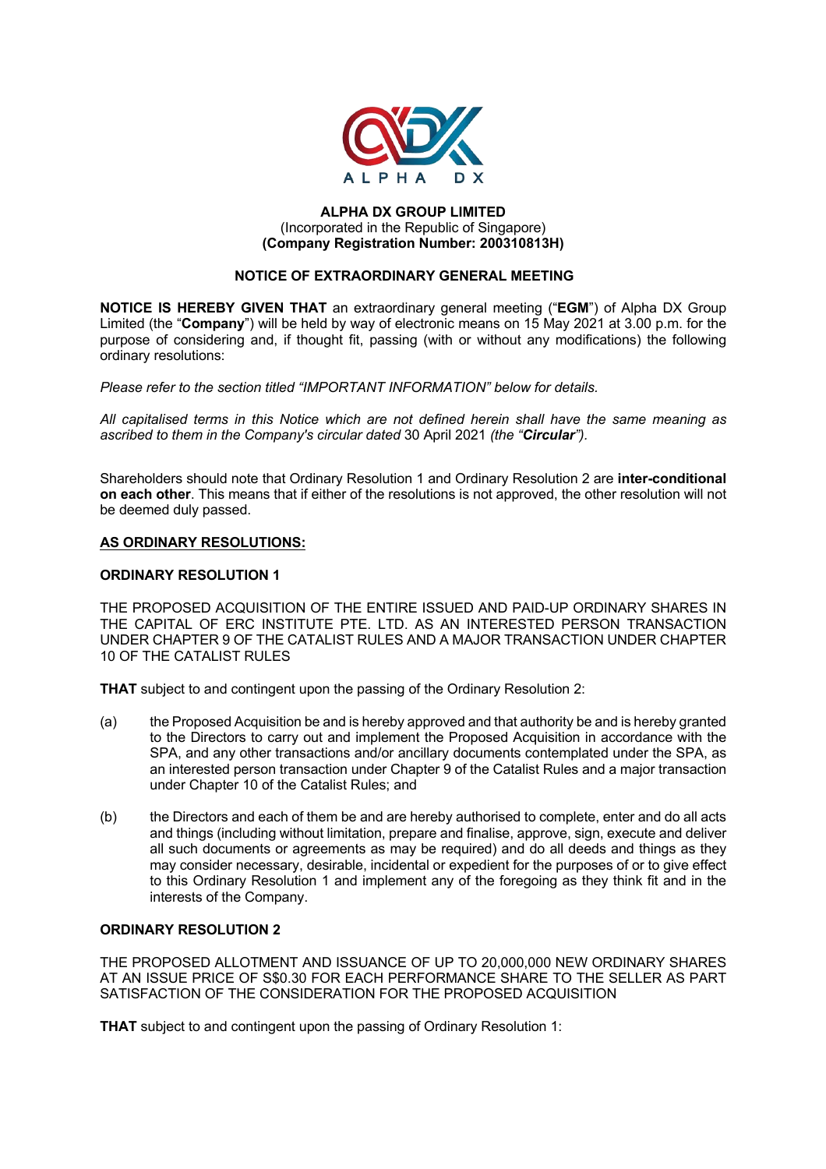

### **ALPHA DX GROUP LIMITED** (Incorporated in the Republic of Singapore) **(Company Registration Number: 200310813H)**

## **NOTICE OF EXTRAORDINARY GENERAL MEETING**

**NOTICE IS HEREBY GIVEN THAT** an extraordinary general meeting ("**EGM**") of Alpha DX Group Limited (the "**Company**") will be held by way of electronic means on 15 May 2021 at 3.00 p.m. for the purpose of considering and, if thought fit, passing (with or without any modifications) the following ordinary resolutions:

*Please refer to the section titled "IMPORTANT INFORMATION" below for details.* 

*All capitalised terms in this Notice which are not defined herein shall have the same meaning as ascribed to them in the Company's circular dated* 30 April 2021 *(the "Circular").*

Shareholders should note that Ordinary Resolution 1 and Ordinary Resolution 2 are **inter-conditional on each other**. This means that if either of the resolutions is not approved, the other resolution will not be deemed duly passed.

# **AS ORDINARY RESOLUTIONS:**

### **ORDINARY RESOLUTION 1**

THE PROPOSED ACQUISITION OF THE ENTIRE ISSUED AND PAID-UP ORDINARY SHARES IN THE CAPITAL OF ERC INSTITUTE PTE. LTD. AS AN INTERESTED PERSON TRANSACTION UNDER CHAPTER 9 OF THE CATALIST RULES AND A MAJOR TRANSACTION UNDER CHAPTER 10 OF THE CATALIST RULES

**THAT** subject to and contingent upon the passing of the Ordinary Resolution 2:

- (a) the Proposed Acquisition be and is hereby approved and that authority be and is hereby granted to the Directors to carry out and implement the Proposed Acquisition in accordance with the SPA, and any other transactions and/or ancillary documents contemplated under the SPA, as an interested person transaction under Chapter 9 of the Catalist Rules and a major transaction under Chapter 10 of the Catalist Rules; and
- (b) the Directors and each of them be and are hereby authorised to complete, enter and do all acts and things (including without limitation, prepare and finalise, approve, sign, execute and deliver all such documents or agreements as may be required) and do all deeds and things as they may consider necessary, desirable, incidental or expedient for the purposes of or to give effect to this Ordinary Resolution 1 and implement any of the foregoing as they think fit and in the interests of the Company.

### **ORDINARY RESOLUTION 2**

THE PROPOSED ALLOTMENT AND ISSUANCE OF UP TO 20,000,000 NEW ORDINARY SHARES AT AN ISSUE PRICE OF S\$0.30 FOR EACH PERFORMANCE SHARE TO THE SELLER AS PART SATISFACTION OF THE CONSIDERATION FOR THE PROPOSED ACQUISITION

**THAT** subject to and contingent upon the passing of Ordinary Resolution 1: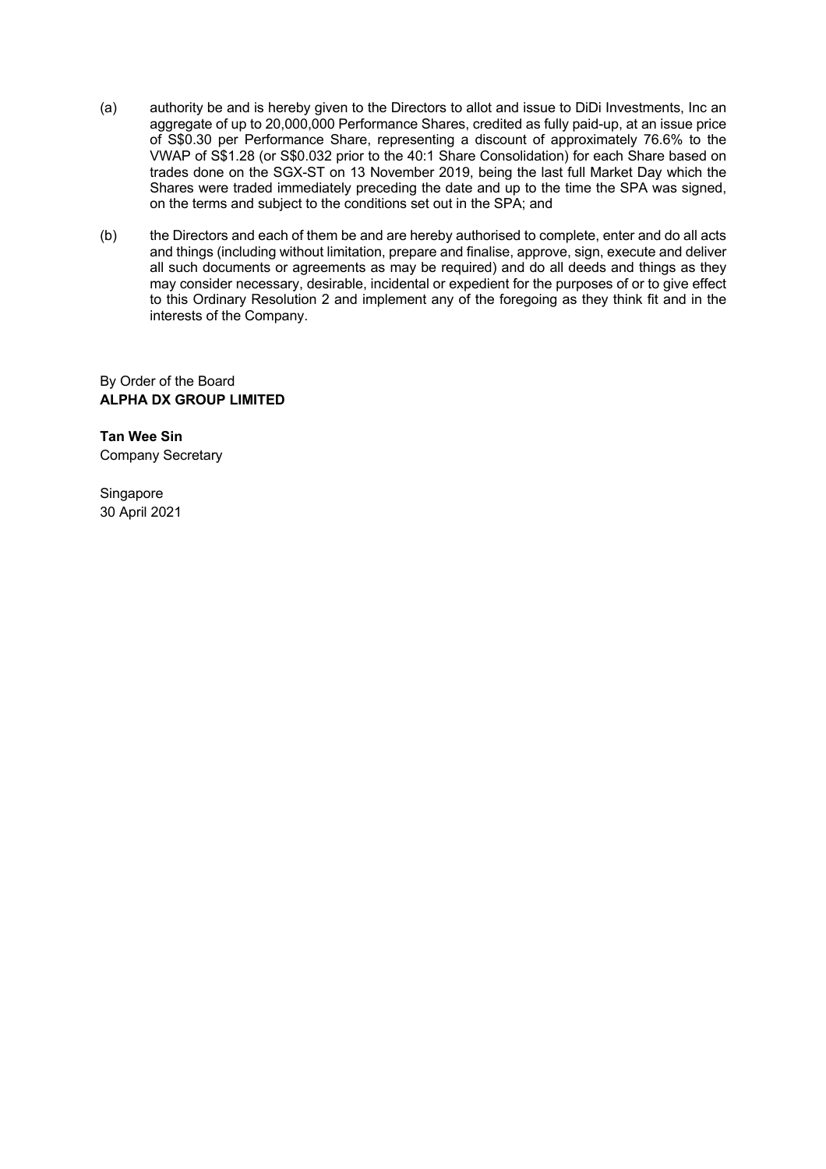- (a) authority be and is hereby given to the Directors to allot and issue to DiDi Investments, Inc an aggregate of up to 20,000,000 Performance Shares, credited as fully paid-up, at an issue price of S\$0.30 per Performance Share, representing a discount of approximately 76.6% to the VWAP of S\$1.28 (or S\$0.032 prior to the 40:1 Share Consolidation) for each Share based on trades done on the SGX-ST on 13 November 2019, being the last full Market Day which the Shares were traded immediately preceding the date and up to the time the SPA was signed, on the terms and subject to the conditions set out in the SPA; and
- (b) the Directors and each of them be and are hereby authorised to complete, enter and do all acts and things (including without limitation, prepare and finalise, approve, sign, execute and deliver all such documents or agreements as may be required) and do all deeds and things as they may consider necessary, desirable, incidental or expedient for the purposes of or to give effect to this Ordinary Resolution 2 and implement any of the foregoing as they think fit and in the interests of the Company.

By Order of the Board **ALPHA DX GROUP LIMITED**

**Tan Wee Sin** Company Secretary

Singapore 30 April 2021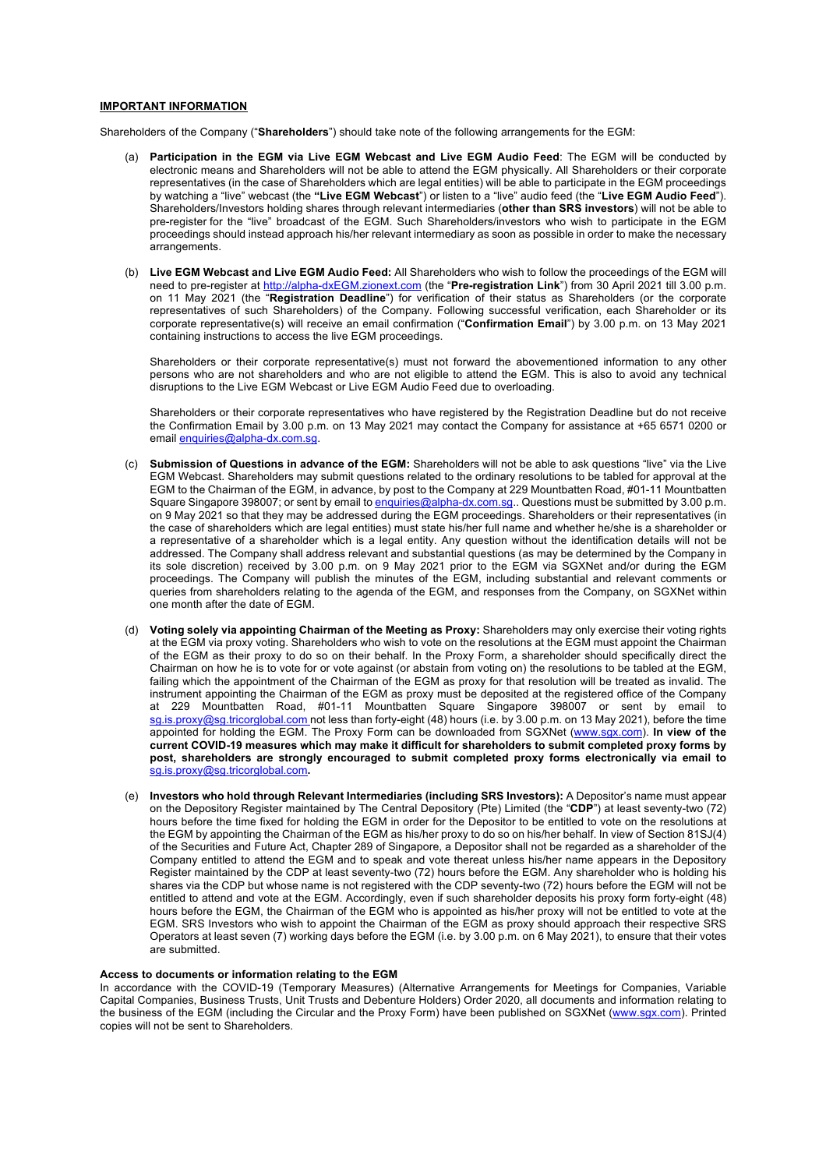#### **IMPORTANT INFORMATION**

Shareholders of the Company ("**Shareholders**") should take note of the following arrangements for the EGM:

- (a) **Participation in the EGM via Live EGM Webcast and Live EGM Audio Feed**: The EGM will be conducted by electronic means and Shareholders will not be able to attend the EGM physically. All Shareholders or their corporate representatives (in the case of Shareholders which are legal entities) will be able to participate in the EGM proceedings by watching a "live" webcast (the **"Live EGM Webcast**") or listen to a "live" audio feed (the "**Live EGM Audio Feed**"). Shareholders/Investors holding shares through relevant intermediaries (**other than SRS investors**) will not be able to pre-register for the "live" broadcast of the EGM. Such Shareholders/investors who wish to participate in the EGM proceedings should instead approach his/her relevant intermediary as soon as possible in order to make the necessary arrangements.
- (b) **Live EGM Webcast and Live EGM Audio Feed:** All Shareholders who wish to follow the proceedings of the EGM will need to pre-register at http://alpha-dxEGM.zionext.com (the "**Pre-registration Link**") from 30 April 2021 till 3.00 p.m. on 11 May 2021 (the "**Registration Deadline**") for verification of their status as Shareholders (or the corporate representatives of such Shareholders) of the Company. Following successful verification, each Shareholder or its corporate representative(s) will receive an email confirmation ("**Confirmation Email**") by 3.00 p.m. on 13 May 2021 containing instructions to access the live EGM proceedings.

Shareholders or their corporate representative(s) must not forward the abovementioned information to any other persons who are not shareholders and who are not eligible to attend the EGM. This is also to avoid any technical disruptions to the Live EGM Webcast or Live EGM Audio Feed due to overloading.

Shareholders or their corporate representatives who have registered by the Registration Deadline but do not receive the Confirmation Email by 3.00 p.m. on 13 May 2021 may contact the Company for assistance at +65 6571 0200 or email enquiries@alpha-dx.com.sg.

- Submission of Questions in advance of the EGM: Shareholders will not be able to ask questions "live" via the Live EGM Webcast. Shareholders may submit questions related to the ordinary resolutions to be tabled for approval at the EGM to the Chairman of the EGM, in advance, by post to the Company at 229 Mountbatten Road, #01-11 Mountbatten Square Singapore 398007; or sent by email to enquiries@alpha-dx.com.sg.. Questions must be submitted by 3.00 p.m. on 9 May 2021 so that they may be addressed during the EGM proceedings. Shareholders or their representatives (in the case of shareholders which are legal entities) must state his/her full name and whether he/she is a shareholder or a representative of a shareholder which is a legal entity. Any question without the identification details will not be addressed. The Company shall address relevant and substantial questions (as may be determined by the Company in its sole discretion) received by 3.00 p.m. on 9 May 2021 prior to the EGM via SGXNet and/or during the EGM proceedings. The Company will publish the minutes of the EGM, including substantial and relevant comments or queries from shareholders relating to the agenda of the EGM, and responses from the Company, on SGXNet within one month after the date of EGM.
- (d) **Voting solely via appointing Chairman of the Meeting as Proxy:** Shareholders may only exercise their voting rights at the EGM via proxy voting. Shareholders who wish to vote on the resolutions at the EGM must appoint the Chairman of the EGM as their proxy to do so on their behalf. In the Proxy Form, a shareholder should specifically direct the Chairman on how he is to vote for or vote against (or abstain from voting on) the resolutions to be tabled at the EGM, failing which the appointment of the Chairman of the EGM as proxy for that resolution will be treated as invalid. The instrument appointing the Chairman of the EGM as proxy must be deposited at the registered office of the Company at 229 Mountbatten Road, #01-11 Mountbatten Square Singapore 398007 or sent by email to sg.is.proxy@sg.tricorglobal.com not less than forty-eight (48) hours (i.e. by 3.00 p.m. on 13 May 2021), before the time appointed for holding the EGM. The Proxy Form can be downloaded from SGXNet (www.sgx.com). **In view of the current COVID-19 measures which may make it difficult for shareholders to submit completed proxy forms by post, shareholders are strongly encouraged to submit completed proxy forms electronically via email to** sg.is.proxy@sg.tricorglobal.com**.**
- (e) **Investors who hold through Relevant Intermediaries (including SRS Investors):** A Depositor's name must appear on the Depository Register maintained by The Central Depository (Pte) Limited (the "**CDP**") at least seventy-two (72) hours before the time fixed for holding the EGM in order for the Depositor to be entitled to vote on the resolutions at the EGM by appointing the Chairman of the EGM as his/her proxy to do so on his/her behalf. In view of Section 81SJ(4) of the Securities and Future Act, Chapter 289 of Singapore, a Depositor shall not be regarded as a shareholder of the Company entitled to attend the EGM and to speak and vote thereat unless his/her name appears in the Depository Register maintained by the CDP at least seventy-two (72) hours before the EGM. Any shareholder who is holding his shares via the CDP but whose name is not registered with the CDP seventy-two (72) hours before the EGM will not be entitled to attend and vote at the EGM. Accordingly, even if such shareholder deposits his proxy form forty-eight (48) hours before the EGM, the Chairman of the EGM who is appointed as his/her proxy will not be entitled to vote at the EGM. SRS Investors who wish to appoint the Chairman of the EGM as proxy should approach their respective SRS Operators at least seven (7) working days before the EGM (i.e. by 3.00 p.m. on 6 May 2021), to ensure that their votes are submitted.

#### **Access to documents or information relating to the EGM**

In accordance with the COVID-19 (Temporary Measures) (Alternative Arrangements for Meetings for Companies, Variable Capital Companies, Business Trusts, Unit Trusts and Debenture Holders) Order 2020, all documents and information relating to the business of the EGM (including the Circular and the Proxy Form) have been published on SGXNet (www.sgx.com). Printed copies will not be sent to Shareholders.